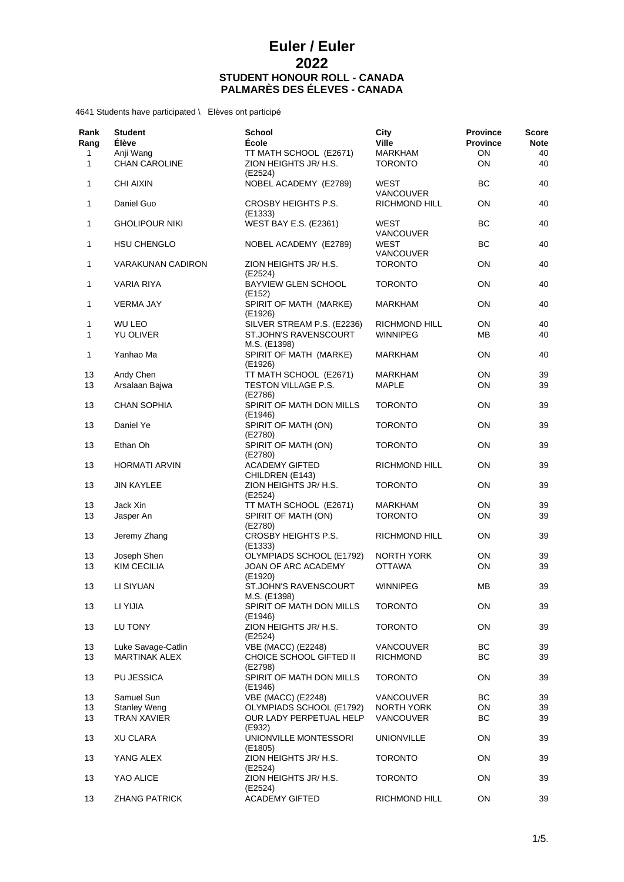| Rank<br>Rang      | <b>Student</b><br><b>Élève</b>             | <b>School</b><br><b>École</b>                                   | City<br><b>Ville</b>               | <b>Province</b><br><b>Province</b> | Score<br><b>Note</b> |
|-------------------|--------------------------------------------|-----------------------------------------------------------------|------------------------------------|------------------------------------|----------------------|
| 1<br>$\mathbf{1}$ | Anji Wang<br><b>CHAN CAROLINE</b>          | TT MATH SCHOOL (E2671)<br>ZION HEIGHTS JR/ H.S.<br>(E2524)      | <b>MARKHAM</b><br><b>TORONTO</b>   | ON<br>ON                           | 40<br>40             |
| 1                 | <b>CHI AIXIN</b>                           | NOBEL ACADEMY (E2789)                                           | WEST<br>VANCOUVER                  | BC                                 | 40                   |
| 1                 | Daniel Guo                                 | CROSBY HEIGHTS P.S.<br>(E1333)                                  | RICHMOND HILL                      | OΝ                                 | 40                   |
| 1                 | <b>GHOLIPOUR NIKI</b>                      | <b>WEST BAY E.S. (E2361)</b>                                    | WEST<br><b>VANCOUVER</b>           | ВC                                 | 40                   |
| 1                 | <b>HSU CHENGLO</b>                         | NOBEL ACADEMY (E2789)                                           | WEST<br>VANCOUVER                  | BС                                 | 40                   |
| 1                 | VARAKUNAN CADIRON                          | ZION HEIGHTS JR/ H.S.<br>(E2524)                                | <b>TORONTO</b>                     | ON                                 | 40                   |
| 1                 | VARIA RIYA                                 | <b>BAYVIEW GLEN SCHOOL</b><br>(E152)                            | <b>TORONTO</b>                     | ON                                 | 40                   |
| 1                 | <b>VERMA JAY</b>                           | SPIRIT OF MATH (MARKE)<br>(E1926)                               | <b>MARKHAM</b>                     | OΝ                                 | 40                   |
| 1                 | <b>WU LEO</b>                              | SILVER STREAM P.S. (E2236)                                      | RICHMOND HILL                      | ON                                 | 40                   |
| 1                 | YU OLIVER                                  | ST.JOHN'S RAVENSCOURT<br>M.S. (E1398)                           | <b>WINNIPEG</b>                    | ΜВ                                 | 40                   |
| 1                 | Yanhao Ma                                  | SPIRIT OF MATH (MARKE)<br>(E1926)                               | <b>MARKHAM</b>                     | OΝ                                 | 40                   |
| 13                | Andy Chen                                  | TT MATH SCHOOL (E2671)                                          | <b>MARKHAM</b>                     | ON                                 | 39                   |
| 13                | Arsalaan Bajwa                             | TESTON VILLAGE P.S.<br>(E2786)                                  | MAPLE                              | ON                                 | 39                   |
| 13                | <b>CHAN SOPHIA</b>                         | SPIRIT OF MATH DON MILLS<br>(E1946)                             | <b>TORONTO</b>                     | ON                                 | 39                   |
| 13                | Daniel Ye                                  | SPIRIT OF MATH (ON)<br>(E2780)                                  | <b>TORONTO</b>                     | ON                                 | 39                   |
| 13                | Ethan Oh                                   | SPIRIT OF MATH (ON)<br>(E2780)                                  | <b>TORONTO</b>                     | OΝ                                 | 39                   |
| 13                | <b>HORMATI ARVIN</b>                       | <b>ACADEMY GIFTED</b><br>CHILDREN (E143)                        | RICHMOND HILL                      | ON                                 | 39                   |
| 13                | <b>JIN KAYLEE</b>                          | ZION HEIGHTS JR/ H.S.<br>(E2524)                                | <b>TORONTO</b>                     | ON                                 | 39                   |
| 13                | Jack Xin                                   | TT MATH SCHOOL (E2671)                                          | <b>MARKHAM</b>                     | OΝ                                 | 39                   |
| 13                | Jasper An                                  | SPIRIT OF MATH (ON)<br>(E2780)                                  | <b>TORONTO</b>                     | OΝ                                 | 39                   |
| 13                | Jeremy Zhang                               | CROSBY HEIGHTS P.S.<br>(E1333)                                  | RICHMOND HILL                      | ON                                 | 39                   |
| 13<br>13          | Joseph Shen<br><b>KIM CECILIA</b>          | OLYMPIADS SCHOOL (E1792)<br>JOAN OF ARC ACADEMY                 | <b>NORTH YORK</b><br><b>OTTAWA</b> | ON<br>ON                           | 39<br>39             |
| 13                | LI SIYUAN                                  | (E1920)<br>ST.JOHN'S RAVENSCOURT                                | <b>WINNIPEG</b>                    | MВ                                 | 39                   |
| 13                | LI YIJIA                                   | M.S. (E1398)<br>SPIRIT OF MATH DON MILLS                        | <b>TORONTO</b>                     | ON                                 | 39                   |
| 13                | LU TONY                                    | (E1946)<br>ZION HEIGHTS JR/ H.S.<br>(E2524)                     | <b>TORONTO</b>                     | ON                                 | 39                   |
|                   |                                            |                                                                 | <b>VANCOUVER</b>                   | BC                                 |                      |
| 13<br>13          | Luke Savage-Catlin<br><b>MARTINAK ALEX</b> | <b>VBE (MACC) (E2248)</b><br>CHOICE SCHOOL GIFTED II<br>(E2798) | <b>RICHMOND</b>                    | BC                                 | 39<br>39             |
| 13                | PU JESSICA                                 | SPIRIT OF MATH DON MILLS<br>(E1946)                             | <b>TORONTO</b>                     | ΟN                                 | 39                   |
| 13                | Samuel Sun                                 | <b>VBE (MACC) (E2248)</b>                                       | <b>VANCOUVER</b>                   | BС                                 | 39                   |
| 13                | <b>Stanley Weng</b>                        | OLYMPIADS SCHOOL (E1792)                                        | NORTH YORK                         | ON                                 | 39                   |
| 13                | <b>TRAN XAVIER</b>                         | OUR LADY PERPETUAL HELP<br>(E932)                               | <b>VANCOUVER</b>                   | BС                                 | 39                   |
| 13                | <b>XU CLARA</b>                            | UNIONVILLE MONTESSORI<br>(E1805)                                | <b>UNIONVILLE</b>                  | ON                                 | 39                   |
| 13                | YANG ALEX                                  | ZION HEIGHTS JR/ H.S.<br>(E2524)                                | <b>TORONTO</b>                     | ON                                 | 39                   |
| 13                | YAO ALICE                                  | ZION HEIGHTS JR/ H.S.<br>(E2524)                                | <b>TORONTO</b>                     | ON                                 | 39                   |
| 13                | <b>ZHANG PATRICK</b>                       | <b>ACADEMY GIFTED</b>                                           | RICHMOND HILL                      | ON                                 | 39                   |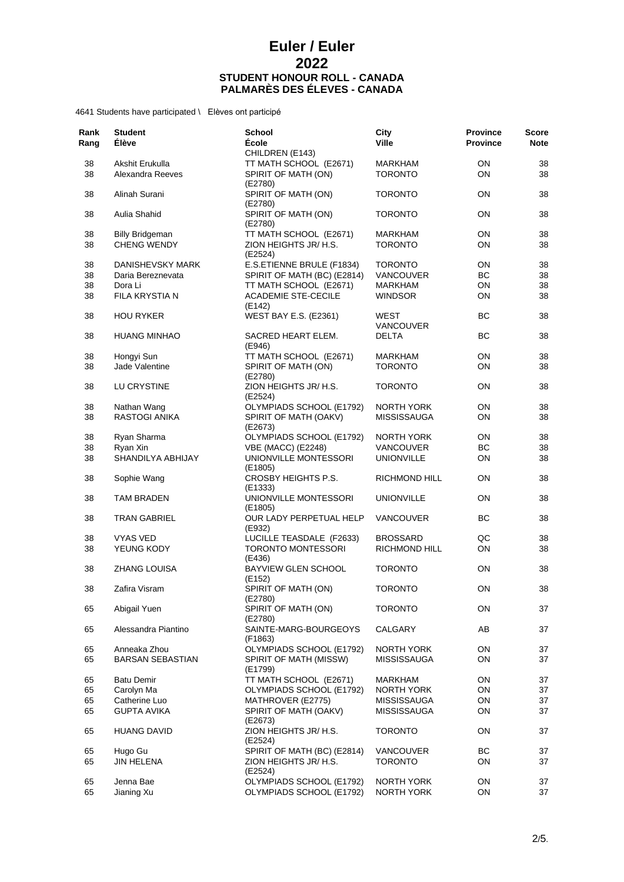| Rank<br>Rang | <b>Student</b><br><b>Élève</b>      | <b>School</b><br>École                        | City<br><b>Ville</b>             | <b>Province</b><br><b>Province</b> | <b>Score</b><br><b>Note</b> |
|--------------|-------------------------------------|-----------------------------------------------|----------------------------------|------------------------------------|-----------------------------|
|              |                                     | CHILDREN (E143)                               |                                  |                                    |                             |
| 38<br>38     | Akshit Erukulla<br>Alexandra Reeves | TT MATH SCHOOL (E2671)<br>SPIRIT OF MATH (ON) | <b>MARKHAM</b><br><b>TORONTO</b> | ON<br>OΝ                           | 38<br>38                    |
| 38           | Alinah Surani                       | (E2780)<br>SPIRIT OF MATH (ON)                | <b>TORONTO</b>                   | OΝ                                 | 38                          |
| 38           | Aulia Shahid                        | (E2780)<br>SPIRIT OF MATH (ON)                | <b>TORONTO</b>                   | ON                                 | 38                          |
| 38           | <b>Billy Bridgeman</b>              | (E2780)<br>TT MATH SCHOOL (E2671)             | MARKHAM                          | OΝ                                 | 38                          |
| 38           | <b>CHENG WENDY</b>                  | ZION HEIGHTS JR/ H.S.<br>(E2524)              | <b>TORONTO</b>                   | OΝ                                 | 38                          |
| 38           | DANISHEVSKY MARK                    | E.S.ETIENNE BRULE (F1834)                     | <b>TORONTO</b>                   | ON                                 | 38                          |
| 38           | Daria Bereznevata                   | SPIRIT OF MATH (BC) (E2814)                   | <b>VANCOUVER</b>                 | BC                                 | 38                          |
| 38           | Dora Li                             | TT MATH SCHOOL (E2671)                        | MARKHAM                          | ON                                 | 38                          |
| 38           | FILA KRYSTIA N                      | <b>ACADEMIE STE-CECILE</b><br>(E142)          | <b>WINDSOR</b>                   | ON                                 | 38                          |
| 38           | <b>HOU RYKER</b>                    | <b>WEST BAY E.S. (E2361)</b>                  | WEST<br>VANCOUVER                | BС                                 | 38                          |
| 38           | <b>HUANG MINHAO</b>                 | SACRED HEART ELEM.<br>(E946)                  | <b>DELTA</b>                     | <b>BC</b>                          | 38                          |
| 38           | Hongyi Sun                          | TT MATH SCHOOL (E2671)                        | MARKHAM                          | ON                                 | 38                          |
| 38           | Jade Valentine                      | SPIRIT OF MATH (ON)<br>(E2780)                | <b>TORONTO</b>                   | ON                                 | 38                          |
| 38           | LU CRYSTINE                         | ZION HEIGHTS JR/ H.S.<br>(E2524)              | <b>TORONTO</b>                   | ON                                 | 38                          |
| 38           | Nathan Wang                         | OLYMPIADS SCHOOL (E1792)                      | <b>NORTH YORK</b>                | ΟN                                 | 38                          |
| 38           | <b>RASTOGI ANIKA</b>                | SPIRIT OF MATH (OAKV)<br>(E2673)              | <b>MISSISSAUGA</b>               | ON                                 | 38                          |
| 38           | Ryan Sharma                         | OLYMPIADS SCHOOL (E1792)                      | NORTH YORK                       | ON                                 | 38                          |
| 38           | Ryan Xin                            | <b>VBE (MACC) (E2248)</b>                     | <b>VANCOUVER</b>                 | ВC                                 | 38                          |
| 38           | SHANDILYA ABHIJAY                   | UNIONVILLE MONTESSORI                         | <b>UNIONVILLE</b>                | ON                                 | 38                          |
| 38           | Sophie Wang                         | (E1805)<br>CROSBY HEIGHTS P.S.                | RICHMOND HILL                    | ON                                 | 38                          |
|              |                                     | (E1333)                                       |                                  |                                    |                             |
| 38           | TAM BRADEN                          | UNIONVILLE MONTESSORI<br>(E1805)              | <b>UNIONVILLE</b>                | ON                                 | 38                          |
| 38           | <b>TRAN GABRIEL</b>                 | OUR LADY PERPETUAL HELP<br>(E932)             | VANCOUVER                        | BС                                 | 38                          |
| 38           | <b>VYAS VED</b>                     | LUCILLE TEASDALE (F2633)                      | <b>BROSSARD</b>                  | QC                                 | 38                          |
| 38           | YEUNG KODY                          | <b>TORONTO MONTESSORI</b><br>(E436)           | RICHMOND HILL                    | ON                                 | 38                          |
| 38           | <b>ZHANG LOUISA</b>                 | <b>BAYVIEW GLEN SCHOOL</b><br>(E152)          | <b>TORONTO</b>                   | ON                                 | 38                          |
| 38           | Zafira Visram                       | SPIRIT OF MATH (ON)<br>(E2780)                | <b>TORONTO</b>                   | ON                                 | 38                          |
| 65           | Abigail Yuen                        | SPIRIT OF MATH (ON)<br>(E2780)                | <b>TORONTO</b>                   | ON                                 | 37                          |
| 65           | Alessandra Piantino                 | SAINTE-MARG-BOURGEOYS<br>(F1863)              | CALGARY                          | AB                                 | 37                          |
| 65           | Anneaka Zhou                        | OLYMPIADS SCHOOL (E1792)                      | NORTH YORK                       | ON                                 | 37                          |
| 65           | <b>BARSAN SEBASTIAN</b>             | SPIRIT OF MATH (MISSW)<br>(E1799)             | <b>MISSISSAUGA</b>               | ON                                 | 37                          |
| 65           | <b>Batu Demir</b>                   | TT MATH SCHOOL (E2671)                        | <b>MARKHAM</b>                   | ON                                 | 37                          |
| 65           | Carolyn Ma                          | OLYMPIADS SCHOOL (E1792)                      | <b>NORTH YORK</b>                | ON                                 | 37                          |
| 65           | Catherine Luo                       | MATHROVER (E2775)                             | <b>MISSISSAUGA</b>               | ON                                 | 37                          |
| 65           | <b>GUPTA AVIKA</b>                  | SPIRIT OF MATH (OAKV)<br>(E2673)              | <b>MISSISSAUGA</b>               | ON                                 | 37                          |
| 65           | <b>HUANG DAVID</b>                  | ZION HEIGHTS JR/ H.S.<br>(E2524)              | <b>TORONTO</b>                   | ON                                 | 37                          |
| 65           | Hugo Gu                             | SPIRIT OF MATH (BC) (E2814)                   | VANCOUVER                        | ВC                                 | 37                          |
| 65           | <b>JIN HELENA</b>                   | ZION HEIGHTS JR/ H.S.                         | <b>TORONTO</b>                   | ON                                 | 37                          |
|              |                                     | (E2524)                                       |                                  |                                    |                             |
| 65<br>65     | Jenna Bae                           | OLYMPIADS SCHOOL (E1792)                      | NORTH YORK                       | ON<br>ON                           | 37<br>37                    |
|              | Jianing Xu                          | OLYMPIADS SCHOOL (E1792)                      | NORTH YORK                       |                                    |                             |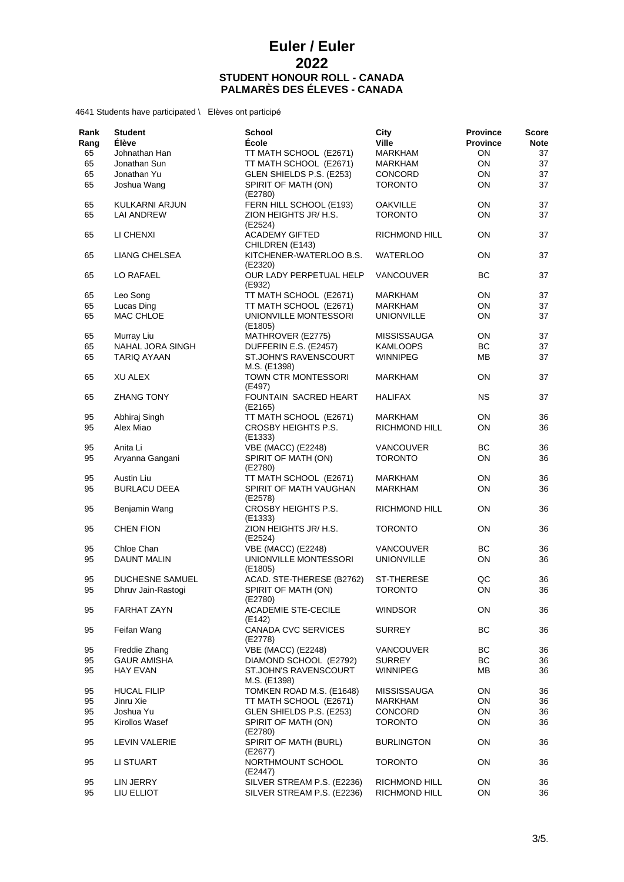| Rank<br>Rang | <b>Student</b><br>Élève | <b>School</b><br>École                       | City<br><b>Ville</b> | <b>Province</b><br><b>Province</b> | Score<br><b>Note</b> |
|--------------|-------------------------|----------------------------------------------|----------------------|------------------------------------|----------------------|
| 65           | Johnathan Han           | TT MATH SCHOOL (E2671)                       | <b>MARKHAM</b>       | ON                                 | 37                   |
| 65           | Jonathan Sun            | TT MATH SCHOOL (E2671)                       | MARKHAM              | ON                                 | 37                   |
| 65           | Jonathan Yu             | GLEN SHIELDS P.S. (E253)                     |                      | ON                                 | 37                   |
|              |                         |                                              | CONCORD              |                                    |                      |
| 65           | Joshua Wang             | SPIRIT OF MATH (ON)<br>(E2780)               | <b>TORONTO</b>       | ON                                 | 37                   |
| 65           | KULKARNI ARJUN          | FERN HILL SCHOOL (E193)                      | <b>OAKVILLE</b>      | ON                                 | 37                   |
| 65           | <b>LAI ANDREW</b>       | ZION HEIGHTS JR/ H.S.                        | <b>TORONTO</b>       | ON                                 | 37                   |
| 65           | LI CHENXI               | (E2524)<br><b>ACADEMY GIFTED</b>             | RICHMOND HILL        | ON                                 | 37                   |
| 65           | LIANG CHELSEA           | CHILDREN (E143)<br>KITCHENER-WATERLOO B.S.   | WATERLOO             | ON                                 | 37                   |
| 65           | LO RAFAEL               | (E2320)<br>OUR LADY PERPETUAL HELP           | VANCOUVER            | BC                                 | 37                   |
|              |                         | (E932)                                       |                      |                                    |                      |
| 65           | Leo Song                | TT MATH SCHOOL (E2671)                       | MARKHAM              | ON                                 | 37                   |
| 65           | Lucas Ding              | TT MATH SCHOOL (E2671)                       | MARKHAM              | ON                                 | 37                   |
| 65           | MAC CHLOE               | UNIONVILLE MONTESSORI<br>(E1805)             | <b>UNIONVILLE</b>    | ON                                 | 37                   |
| 65           | Murray Liu              | MATHROVER (E2775)                            | <b>MISSISSAUGA</b>   | ON                                 | 37                   |
| 65           | NAHAL JORA SINGH        | DUFFERIN E.S. (E2457)                        | KAMLOOPS             | BС                                 | 37                   |
| 65           | TARIQ AYAAN             | <b>ST.JOHN'S RAVENSCOURT</b><br>M.S. (E1398) | <b>WINNIPEG</b>      | MB                                 | 37                   |
| 65           | <b>XU ALEX</b>          | TOWN CTR MONTESSORI<br>(E497)                | <b>MARKHAM</b>       | OΝ                                 | 37                   |
| 65           | <b>ZHANG TONY</b>       | <b>FOUNTAIN SACRED HEART</b><br>(E2165)      | <b>HALIFAX</b>       | NS.                                | 37                   |
| 95           | Abhiraj Singh           | TT MATH SCHOOL (E2671)                       | MARKHAM              | ON                                 | 36                   |
| 95           | Alex Miao               | CROSBY HEIGHTS P.S.<br>(E1333)               | RICHMOND HILL        | ON                                 | 36                   |
| 95           | Anita Li                | <b>VBE (MACC) (E2248)</b>                    | VANCOUVER            | BС                                 | 36                   |
| 95           | Aryanna Gangani         | SPIRIT OF MATH (ON)                          | <b>TORONTO</b>       | ON                                 | 36                   |
|              |                         | (E2780)                                      |                      |                                    |                      |
| 95           | Austin Liu              | TT MATH SCHOOL (E2671)                       | MARKHAM              | ON                                 | 36                   |
| 95           | <b>BURLACU DEEA</b>     | SPIRIT OF MATH VAUGHAN                       | <b>MARKHAM</b>       | ON                                 | 36                   |
|              |                         | (E2578)                                      |                      |                                    |                      |
| 95           | Benjamin Wang           | CROSBY HEIGHTS P.S.<br>(E1333)               | RICHMOND HILL        | ON                                 | 36                   |
| 95           | <b>CHEN FION</b>        | ZION HEIGHTS JR/ H.S.<br>(E2524)             | <b>TORONTO</b>       | ON                                 | 36                   |
| 95           | Chloe Chan              | <b>VBE (MACC) (E2248)</b>                    | <b>VANCOUVER</b>     | BС                                 | 36                   |
| 95           | <b>DAUNT MALIN</b>      | UNIONVILLE MONTESSORI<br>(E1805)             | <b>UNIONVILLE</b>    | ON                                 | 36                   |
| 95           | <b>DUCHESNE SAMUEL</b>  | ACAD. STE-THERESE (B2762)                    | <b>ST-THERESE</b>    | QC                                 | 36                   |
| 95           | Dhruv Jain-Rastogi      | SPIRIT OF MATH (ON)<br>(E2780)               | <b>TORONTO</b>       | ON                                 | 36                   |
| 95           | <b>FARHAT ZAYN</b>      | <b>ACADEMIE STE-CECILE</b><br>(E142)         | <b>WINDSOR</b>       | ΟN                                 | 36                   |
| 95           | Feifan Wang             | CANADA CVC SERVICES<br>(E2778)               | <b>SURREY</b>        | BС                                 | 36                   |
| 95           | Freddie Zhang           | <b>VBE (MACC) (E2248)</b>                    | <b>VANCOUVER</b>     | BС                                 | 36                   |
| 95           | <b>GAUR AMISHA</b>      | DIAMOND SCHOOL (E2792)                       | <b>SURREY</b>        | ВC                                 | 36                   |
| 95           | <b>HAY EVAN</b>         | ST.JOHN'S RAVENSCOURT<br>M.S. (E1398)        | <b>WINNIPEG</b>      | ΜВ                                 | 36                   |
| 95           | <b>HUCAL FILIP</b>      | TOMKEN ROAD M.S. (E1648)                     | <b>MISSISSAUGA</b>   | ON                                 | 36                   |
| 95           | Jinru Xie               | TT MATH SCHOOL (E2671)                       | MARKHAM              | ON                                 | 36                   |
| 95           | Joshua Yu               | GLEN SHIELDS P.S. (E253)                     | <b>CONCORD</b>       | ON                                 | 36                   |
| 95           | Kirollos Wasef          | SPIRIT OF MATH (ON)                          | <b>TORONTO</b>       | ON                                 | 36                   |
| 95           | <b>LEVIN VALERIE</b>    | (E2780)<br>SPIRIT OF MATH (BURL)<br>(E2677)  | <b>BURLINGTON</b>    | ON                                 | 36                   |
| 95           | LI STUART               | NORTHMOUNT SCHOOL<br>(E2447)                 | <b>TORONTO</b>       | ON                                 | 36                   |
| 95           | LIN JERRY               | SILVER STREAM P.S. (E2236)                   | RICHMOND HILL        | ON                                 | 36                   |
| 95           | LIU ELLIOT              | SILVER STREAM P.S. (E2236)                   | RICHMOND HILL        | ON                                 | 36                   |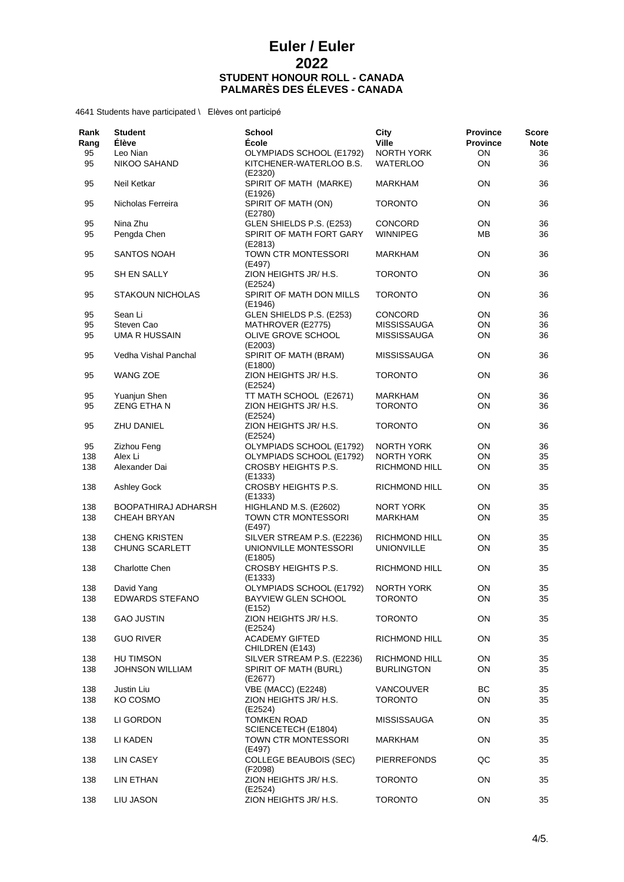| Rank<br>Rang | <b>Student</b><br><b>Élève</b> | <b>School</b><br>École                    | City<br><b>Ville</b> | <b>Province</b><br><b>Province</b> | Score<br><b>Note</b> |
|--------------|--------------------------------|-------------------------------------------|----------------------|------------------------------------|----------------------|
| 95           | Leo Nian                       | OLYMPIADS SCHOOL (E1792)                  | <b>NORTH YORK</b>    | ON                                 | 36                   |
| 95           | NIKOO SAHAND                   | KITCHENER-WATERLOO B.S.<br>(E2320)        | <b>WATERLOO</b>      | ON                                 | 36                   |
| 95           | Neil Ketkar                    | SPIRIT OF MATH (MARKE)<br>(E1926)         | <b>MARKHAM</b>       | <b>ON</b>                          | 36                   |
| 95           | Nicholas Ferreira              | SPIRIT OF MATH (ON)<br>(E2780)            | <b>TORONTO</b>       | ON                                 | 36                   |
| 95           | Nina Zhu                       | GLEN SHIELDS P.S. (E253)                  | <b>CONCORD</b>       | ON                                 | 36                   |
| 95           | Pengda Chen                    | SPIRIT OF MATH FORT GARY<br>(E2813)       | <b>WINNIPEG</b>      | MВ                                 | 36                   |
| 95           | <b>SANTOS NOAH</b>             | TOWN CTR MONTESSORI<br>(E497)             | <b>MARKHAM</b>       | <b>ON</b>                          | 36                   |
| 95           | SH EN SALLY                    | ZION HEIGHTS JR/ H.S.<br>(E2524)          | <b>TORONTO</b>       | <b>ON</b>                          | 36                   |
| 95           | <b>STAKOUN NICHOLAS</b>        | SPIRIT OF MATH DON MILLS<br>(E1946)       | <b>TORONTO</b>       | ON                                 | 36                   |
| 95           | Sean Li                        | GLEN SHIELDS P.S. (E253)                  | CONCORD              | ON                                 | 36                   |
| 95           | Steven Cao                     | MATHROVER (E2775)                         | <b>MISSISSAUGA</b>   | ON                                 | 36                   |
| 95           | UMA R HUSSAIN                  | OLIVE GROVE SCHOOL<br>(E2003)             | <b>MISSISSAUGA</b>   | ON                                 | 36                   |
| 95           | Vedha Vishal Panchal           | SPIRIT OF MATH (BRAM)<br>(E1800)          | <b>MISSISSAUGA</b>   | ON                                 | 36                   |
| 95           | <b>WANG ZOE</b>                | ZION HEIGHTS JR/ H.S.<br>(E2524)          | <b>TORONTO</b>       | ON                                 | 36                   |
| 95           | Yuanjun Shen                   | TT MATH SCHOOL (E2671)                    | MARKHAM              | ON                                 | 36                   |
| 95           | <b>ZENG ETHAN</b>              | ZION HEIGHTS JR/ H.S.<br>(E2524)          | <b>TORONTO</b>       | ON                                 | 36                   |
| 95           | ZHU DANIEL                     | ZION HEIGHTS JR/ H.S.<br>(E2524)          | <b>TORONTO</b>       | ON                                 | 36                   |
| 95           | Zizhou Feng                    | OLYMPIADS SCHOOL (E1792)                  | <b>NORTH YORK</b>    | ON                                 | 36                   |
| 138          | Alex Li                        | OLYMPIADS SCHOOL (E1792)                  | <b>NORTH YORK</b>    | ON                                 | 35                   |
| 138          | Alexander Dai                  | CROSBY HEIGHTS P.S.<br>(E1333)            | RICHMOND HILL        | ON                                 | 35                   |
| 138          | <b>Ashley Gock</b>             | CROSBY HEIGHTS P.S.<br>(E1333)            | RICHMOND HILL        | <b>ON</b>                          | 35                   |
| 138          | BOOPATHIRAJ ADHARSH            | HIGHLAND M.S. (E2602)                     | <b>NORT YORK</b>     | ON                                 | 35                   |
| 138          | <b>CHEAH BRYAN</b>             | TOWN CTR MONTESSORI<br>(E497)             | <b>MARKHAM</b>       | ON                                 | 35                   |
| 138          | <b>CHENG KRISTEN</b>           | SILVER STREAM P.S. (E2236)                | RICHMOND HILL        | ON                                 | 35                   |
| 138          | CHUNG SCARLETT                 | UNIONVILLE MONTESSORI<br>(E1805)          | <b>UNIONVILLE</b>    | <b>ON</b>                          | 35                   |
| 138          | <b>Charlotte Chen</b>          | CROSBY HEIGHTS P.S.<br>(E1333)            | <b>RICHMOND HILL</b> | ON                                 | 35                   |
| 138          | David Yang                     | OLYMPIADS SCHOOL (E1792)                  | <b>NORTH YORK</b>    | ON                                 | 35                   |
| 138          | EDWARDS STEFANO                | BAYVIEW GLEN SCHOOL<br>(E152)             | TORONTO              | ON                                 | 35                   |
| 138          | <b>GAO JUSTIN</b>              | ZION HEIGHTS JR/ H.S.<br>(E2524)          | <b>TORONTO</b>       | ON                                 | 35                   |
| 138          | <b>GUO RIVER</b>               | <b>ACADEMY GIFTED</b><br>CHILDREN (E143)  | RICHMOND HILL        | ON                                 | 35                   |
| 138          | HU TIMSON                      | SILVER STREAM P.S. (E2236)                | RICHMOND HILL        | ON                                 | 35                   |
| 138          | <b>JOHNSON WILLIAM</b>         | SPIRIT OF MATH (BURL)<br>(E2677)          | <b>BURLINGTON</b>    | ON                                 | 35                   |
| 138          | Justin Liu                     | <b>VBE (MACC) (E2248)</b>                 | <b>VANCOUVER</b>     | BC.                                | 35                   |
| 138          | KO COSMO                       | ZION HEIGHTS JR/ H.S.<br>(E2524)          | <b>TORONTO</b>       | ON                                 | 35                   |
| 138          | LI GORDON                      | <b>TOMKEN ROAD</b><br>SCIENCETECH (E1804) | <b>MISSISSAUGA</b>   | ON                                 | 35                   |
| 138          | LI KADEN                       | TOWN CTR MONTESSORI<br>(E497)             | <b>MARKHAM</b>       | ON                                 | 35                   |
| 138          | <b>LIN CASEY</b>               | <b>COLLEGE BEAUBOIS (SEC)</b><br>(F2098)  | <b>PIERREFONDS</b>   | QC                                 | 35                   |
| 138          | LIN ETHAN                      | ZION HEIGHTS JR/ H.S.<br>(E2524)          | <b>TORONTO</b>       | ON                                 | 35                   |
| 138          | LIU JASON                      | ZION HEIGHTS JR/ H.S.                     | <b>TORONTO</b>       | ON                                 | 35                   |